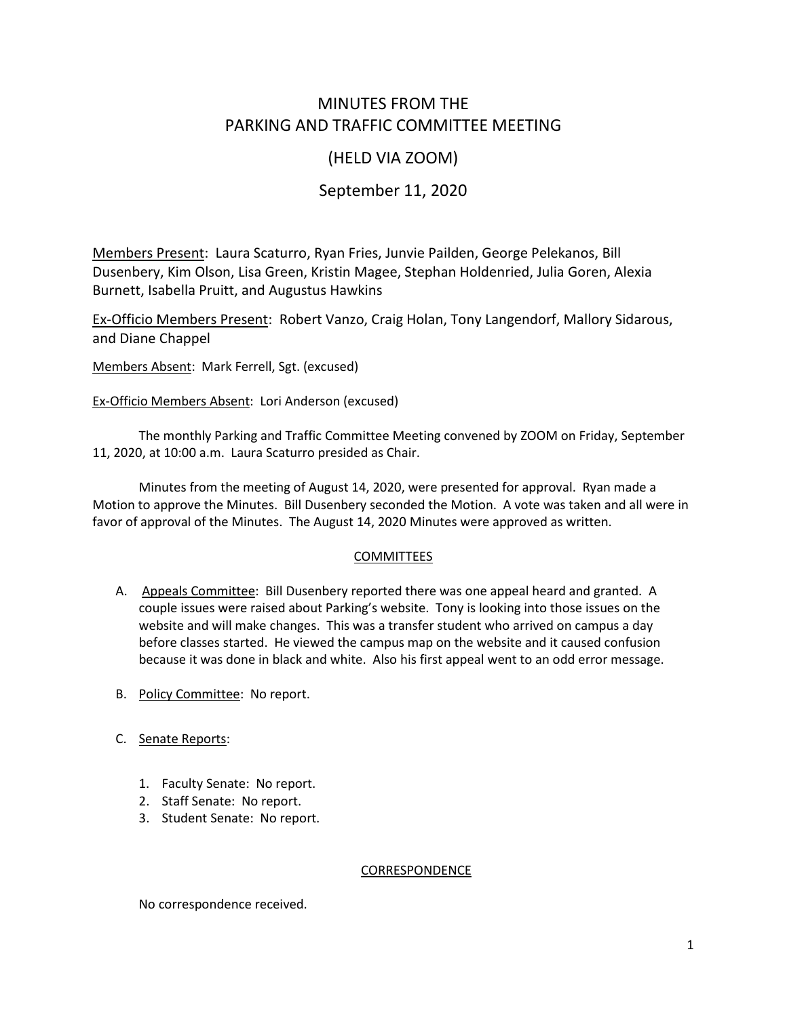# MINUTES FROM THE PARKING AND TRAFFIC COMMITTEE MEETING

## (HELD VIA ZOOM)

# September 11, 2020

Members Present: Laura Scaturro, Ryan Fries, Junvie Pailden, George Pelekanos, Bill Dusenbery, Kim Olson, Lisa Green, Kristin Magee, Stephan Holdenried, Julia Goren, Alexia Burnett, Isabella Pruitt, and Augustus Hawkins

Ex-Officio Members Present: Robert Vanzo, Craig Holan, Tony Langendorf, Mallory Sidarous, and Diane Chappel

Members Absent: Mark Ferrell, Sgt. (excused)

Ex-Officio Members Absent: Lori Anderson (excused)

The monthly Parking and Traffic Committee Meeting convened by ZOOM on Friday, September 11, 2020, at 10:00 a.m. Laura Scaturro presided as Chair.

Minutes from the meeting of August 14, 2020, were presented for approval. Ryan made a Motion to approve the Minutes. Bill Dusenbery seconded the Motion. A vote was taken and all were in favor of approval of the Minutes. The August 14, 2020 Minutes were approved as written.

### COMMITTEES

- A. Appeals Committee: Bill Dusenbery reported there was one appeal heard and granted. A couple issues were raised about Parking's website. Tony is looking into those issues on the website and will make changes. This was a transfer student who arrived on campus a day before classes started. He viewed the campus map on the website and it caused confusion because it was done in black and white. Also his first appeal went to an odd error message.
- B. Policy Committee: No report.
- C. Senate Reports:
	- 1. Faculty Senate: No report.
	- 2. Staff Senate: No report.
	- 3. Student Senate: No report.

### CORRESPONDENCE

No correspondence received.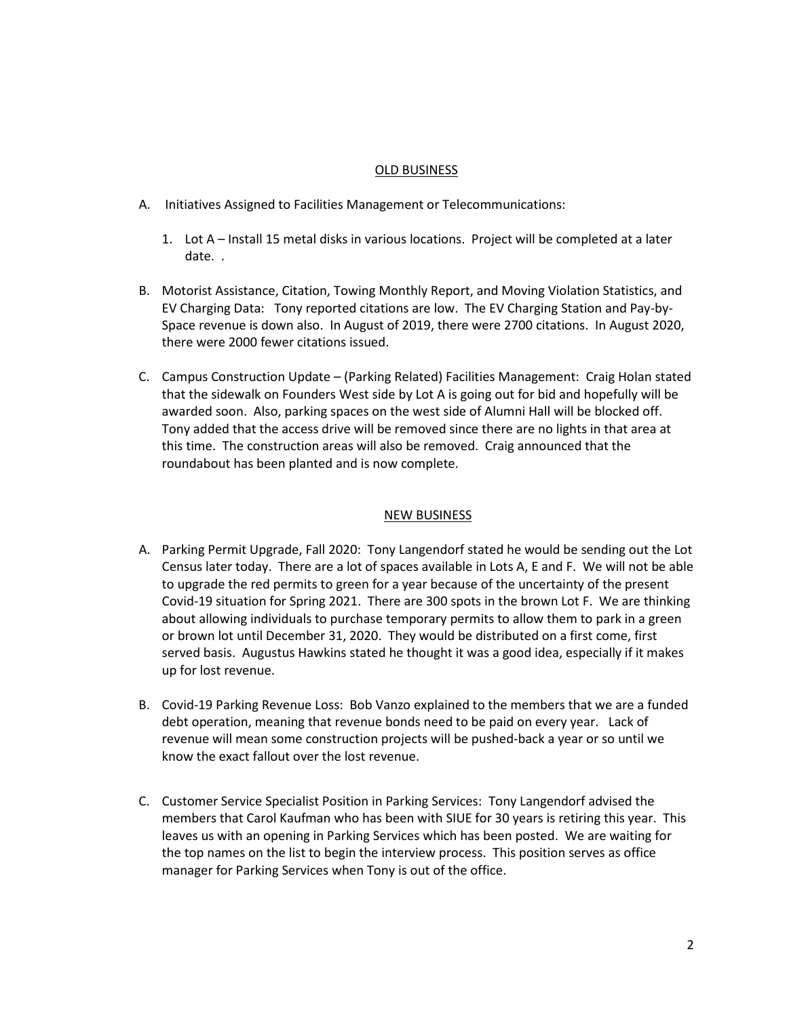#### OLD BUSINESS

- A. Initiatives Assigned to Facilities Management or Telecommunications:
	- 1. Lot A Install 15 metal disks in various locations. Project will be completed at a later date. .
- B. Motorist Assistance, Citation, Towing Monthly Report, and Moving Violation Statistics, and EV Charging Data: Tony reported citations are low. The EV Charging Station and Pay-by-Space revenue is down also. In August of 2019, there were 2700 citations. In August 2020, there were 2000 fewer citations issued.
- C. Campus Construction Update (Parking Related) Facilities Management: Craig Holan stated that the sidewalk on Founders West side by Lot A is going out for bid and hopefully will be awarded soon. Also, parking spaces on the west side of Alumni Hall will be blocked off. Tony added that the access drive will be removed since there are no lights in that area at this time. The construction areas will also be removed. Craig announced that the roundabout has been planted and is now complete.

### NEW BUSINESS

- A. Parking Permit Upgrade, Fall 2020: Tony Langendorf stated he would be sending out the Lot Census later today. There are a lot of spaces available in Lots A, E and F. We will not be able to upgrade the red permits to green for a year because of the uncertainty of the present Covid-19 situation for Spring 2021. There are 300 spots in the brown Lot F. We are thinking about allowing individuals to purchase temporary permits to allow them to park in a green or brown lot until December 31, 2020. They would be distributed on a first come, first served basis. Augustus Hawkins stated he thought it was a good idea, especially if it makes up for lost revenue.
- B. Covid-19 Parking Revenue Loss: Bob Vanzo explained to the members that we are a funded debt operation, meaning that revenue bonds need to be paid on every year. Lack of revenue will mean some construction projects will be pushed-back a year or so until we know the exact fallout over the lost revenue.
- C. Customer Service Specialist Position in Parking Services: Tony Langendorf advised the members that Carol Kaufman who has been with SIUE for 30 years is retiring this year. This leaves us with an opening in Parking Services which has been posted. We are waiting for the top names on the list to begin the interview process. This position serves as office manager for Parking Services when Tony is out of the office.